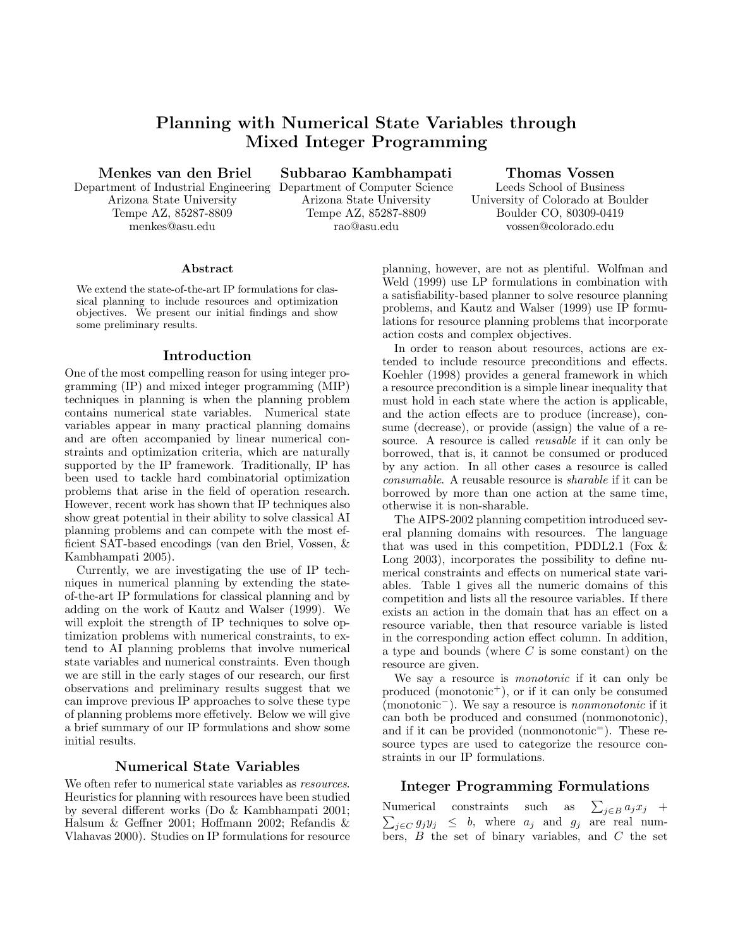# Planning with Numerical State Variables through Mixed Integer Programming

Menkes van den Briel

Department of Industrial Engineering Arizona State University Tempe AZ, 85287-8809 menkes@asu.edu

Subbarao Kambhampati Department of Computer Science

Arizona State University Tempe AZ, 85287-8809 rao@asu.edu

## Thomas Vossen

Leeds School of Business University of Colorado at Boulder Boulder CO, 80309-0419 vossen@colorado.edu

#### Abstract

We extend the state-of-the-art IP formulations for classical planning to include resources and optimization objectives. We present our initial findings and show some preliminary results.

### Introduction

One of the most compelling reason for using integer programming (IP) and mixed integer programming (MIP) techniques in planning is when the planning problem contains numerical state variables. Numerical state variables appear in many practical planning domains and are often accompanied by linear numerical constraints and optimization criteria, which are naturally supported by the IP framework. Traditionally, IP has been used to tackle hard combinatorial optimization problems that arise in the field of operation research. However, recent work has shown that IP techniques also show great potential in their ability to solve classical AI planning problems and can compete with the most efficient SAT-based encodings (van den Briel, Vossen, & Kambhampati 2005).

Currently, we are investigating the use of IP techniques in numerical planning by extending the stateof-the-art IP formulations for classical planning and by adding on the work of Kautz and Walser (1999). We will exploit the strength of IP techniques to solve optimization problems with numerical constraints, to extend to AI planning problems that involve numerical state variables and numerical constraints. Even though we are still in the early stages of our research, our first observations and preliminary results suggest that we can improve previous IP approaches to solve these type of planning problems more effetively. Below we will give a brief summary of our IP formulations and show some initial results.

## Numerical State Variables

We often refer to numerical state variables as *resources*. Heuristics for planning with resources have been studied by several different works (Do & Kambhampati 2001; Halsum & Geffner 2001; Hoffmann 2002; Refandis & Vlahavas 2000). Studies on IP formulations for resource

planning, however, are not as plentiful. Wolfman and Weld (1999) use LP formulations in combination with a satisfiability-based planner to solve resource planning problems, and Kautz and Walser (1999) use IP formulations for resource planning problems that incorporate action costs and complex objectives.

In order to reason about resources, actions are extended to include resource preconditions and effects. Koehler (1998) provides a general framework in which a resource precondition is a simple linear inequality that must hold in each state where the action is applicable, and the action effects are to produce (increase), consume (decrease), or provide (assign) the value of a resource. A resource is called reusable if it can only be borrowed, that is, it cannot be consumed or produced by any action. In all other cases a resource is called consumable. A reusable resource is sharable if it can be borrowed by more than one action at the same time, otherwise it is non-sharable.

The AIPS-2002 planning competition introduced several planning domains with resources. The language that was used in this competition, PDDL2.1 (Fox  $\&$ Long 2003), incorporates the possibility to define numerical constraints and effects on numerical state variables. Table 1 gives all the numeric domains of this competition and lists all the resource variables. If there exists an action in the domain that has an effect on a resource variable, then that resource variable is listed in the corresponding action effect column. In addition, a type and bounds (where  $C$  is some constant) on the resource are given.

We say a resource is *monotonic* if it can only be produced (monotonic<sup>+</sup>), or if it can only be consumed (monotonic−). We say a resource is nonmonotonic if it can both be produced and consumed (nonmonotonic), and if it can be provided (nonmonotonic<sup> $=$ </sup>). These resource types are used to categorize the resource constraints in our IP formulations.

## Integer Programming Formulations

Numerical constraints such as  $\sum_{j\in B} a_j x_j$  +  $\sum_{j\in C} g_j y_j \leq b$ , where  $a_j$  and  $g_j$  are real numbers,  $B$  the set of binary variables, and  $C$  the set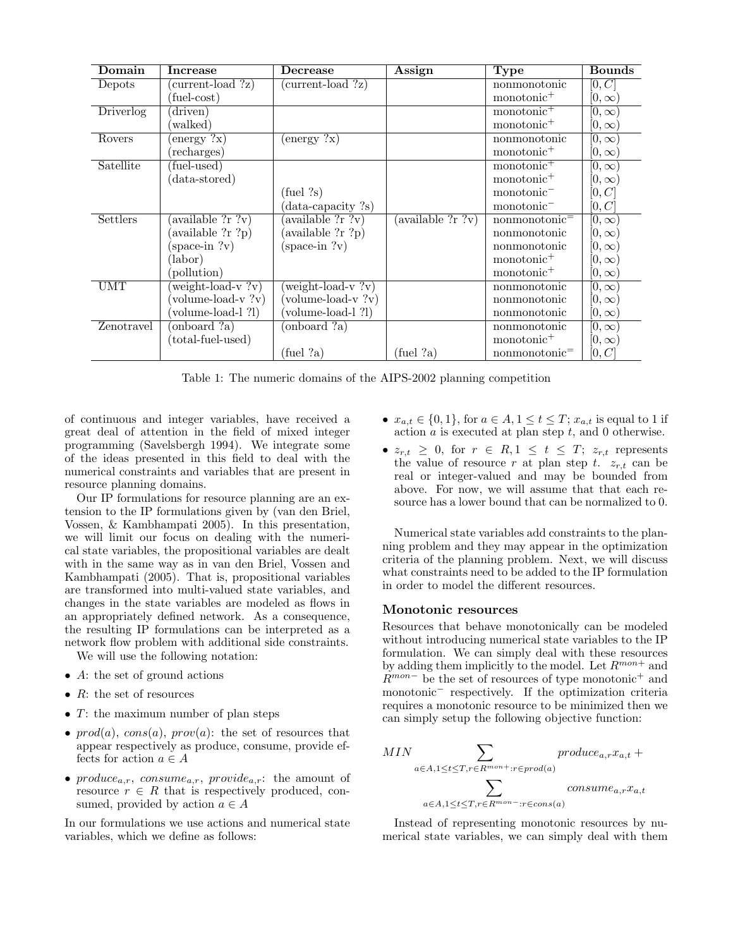| Domain     | Increase               | Decrease                     | Assign                     | <b>Type</b>               | <b>Bounds</b> |
|------------|------------------------|------------------------------|----------------------------|---------------------------|---------------|
| Depots     | $current$ load $?z)$   | (current-load ?z)            |                            | nonmonotonic              | [0,C]         |
|            | $(\text{fuel-cost})$   |                              |                            | monotonic <sup>+</sup>    | $[0,\infty)$  |
| Driverlog  | (driven)               |                              |                            | monotonic <sup>+</sup>    | $[0,\infty)$  |
|            | (walked)               |                              |                            | monotonic <sup>+</sup>    | $[0,\infty)$  |
| Rovers     | $(energy ?\mathbf{x})$ | $(\text{energy } ?\text{x})$ |                            | nonmonotonic              | $[0,\infty)$  |
|            | (recharges)            |                              |                            | monotonic <sup>+</sup>    | $[0,\infty)$  |
| Satellite  | (fuel-used)            |                              |                            | monotonic <sup>+</sup>    | $[0,\infty)$  |
|            | (data-stored)          |                              |                            | monotonic <sup>+</sup>    | $[0,\infty)$  |
|            |                        | $(\text{fuel} ?s)$           |                            | monotonic <sup>-</sup>    | [0,C]         |
|            |                        | data-capacity ?s)            |                            | $monotonic^-$             | [0,C]         |
| Settlers   | (available ?r ?v)      | available ?r ?v)             | $(\text{available ?r ?v})$ | nonmonotonic <sup>=</sup> | $[0,\infty)$  |
|            | (available ?r ?p)      | (available ?r ?p)            |                            | nonmonotonic              | $[0,\infty)$  |
|            | $(space-in ?v)$        | $(space-in ?v)$              |                            | nonmonotonic              | $[0,\infty)$  |
|            | (labor)                |                              |                            | monotonic <sup>+</sup>    | $[0,\infty)$  |
|            | (pollution)            |                              |                            | monotonic <sup>+</sup>    | $[0,\infty)$  |
| <b>UMT</b> | (weight-load-v?v)      | weight-load- $v$ ? $v$ )     |                            | nonmonotonic              | $[0,\infty)$  |
|            | (volume-load-v?v)      | volume-load-v?v)             |                            | nonmonotonic              | $[0,\infty)$  |
|            | (volume-load-1 ?1)     | volume-load-1 ?1)            |                            | nonmonotonic              | $[0,\infty)$  |
| Zenotravel | (onboard ?a)           | (onboard ?a)                 |                            | nonmonotonic              | $[0,\infty)$  |
|            | (total-fuel-used)      |                              |                            | monotonic <sup>+</sup>    | $[0,\infty)$  |
|            |                        | $(\text{fuel} ?a)$           | $(\text{fuel} ?a)$         | nonmonotonic=             | [0,C]         |

Table 1: The numeric domains of the AIPS-2002 planning competition

of continuous and integer variables, have received a great deal of attention in the field of mixed integer programming (Savelsbergh 1994). We integrate some of the ideas presented in this field to deal with the numerical constraints and variables that are present in resource planning domains.

Our IP formulations for resource planning are an extension to the IP formulations given by (van den Briel, Vossen, & Kambhampati 2005). In this presentation, we will limit our focus on dealing with the numerical state variables, the propositional variables are dealt with in the same way as in van den Briel, Vossen and Kambhampati (2005). That is, propositional variables are transformed into multi-valued state variables, and changes in the state variables are modeled as flows in an appropriately defined network. As a consequence, the resulting IP formulations can be interpreted as a network flow problem with additional side constraints.

We will use the following notation:

- A: the set of ground actions
- $R$ : the set of resources
- $T:$  the maximum number of plan steps
- $prod(a)$ ,  $cons(a)$ ,  $prov(a)$ : the set of resources that appear respectively as produce, consume, provide effects for action  $a \in A$
- produce<sub>a,r</sub>, consume<sub>a,r</sub>, provide<sub>a,r</sub>: the amount of resource  $r \in R$  that is respectively produced, consumed, provided by action  $a \in A$

In our formulations we use actions and numerical state variables, which we define as follows:

- $x_{a,t} \in \{0,1\}$ , for  $a \in A, 1 \le t \le T$ ;  $x_{a,t}$  is equal to 1 if action  $a$  is executed at plan step  $t$ , and 0 otherwise.
- $z_{r,t} \geq 0$ , for  $r \in R, 1 \leq t \leq T$ ;  $z_{r,t}$  represents the value of resource r at plan step t.  $z_{r,t}$  can be real or integer-valued and may be bounded from above. For now, we will assume that that each resource has a lower bound that can be normalized to 0.

Numerical state variables add constraints to the planning problem and they may appear in the optimization criteria of the planning problem. Next, we will discuss what constraints need to be added to the IP formulation in order to model the different resources.

### Monotonic resources

Resources that behave monotonically can be modeled without introducing numerical state variables to the IP formulation. We can simply deal with these resources by adding them implicitly to the model. Let  ${\cal R}^{mon+}$  and  $R^{mon-}$  be the set of resources of type monotonic<sup>+</sup> and monotonic<sup>−</sup> respectively. If the optimization criteria requires a monotonic resource to be minimized then we can simply setup the following objective function:

$$
\begin{aligned} MIN & \sum_{a \in A, 1 \leq t \leq T, r \in R^{mon+}: r \in produce_{a,r} x_{a,t} + \\ & \sum_{a \in A, 1 \leq t \leq T, r \in R^{mon-}: r \in cons(a)} consume_{a,r} x_{a,t} \end{aligned}
$$

Instead of representing monotonic resources by numerical state variables, we can simply deal with them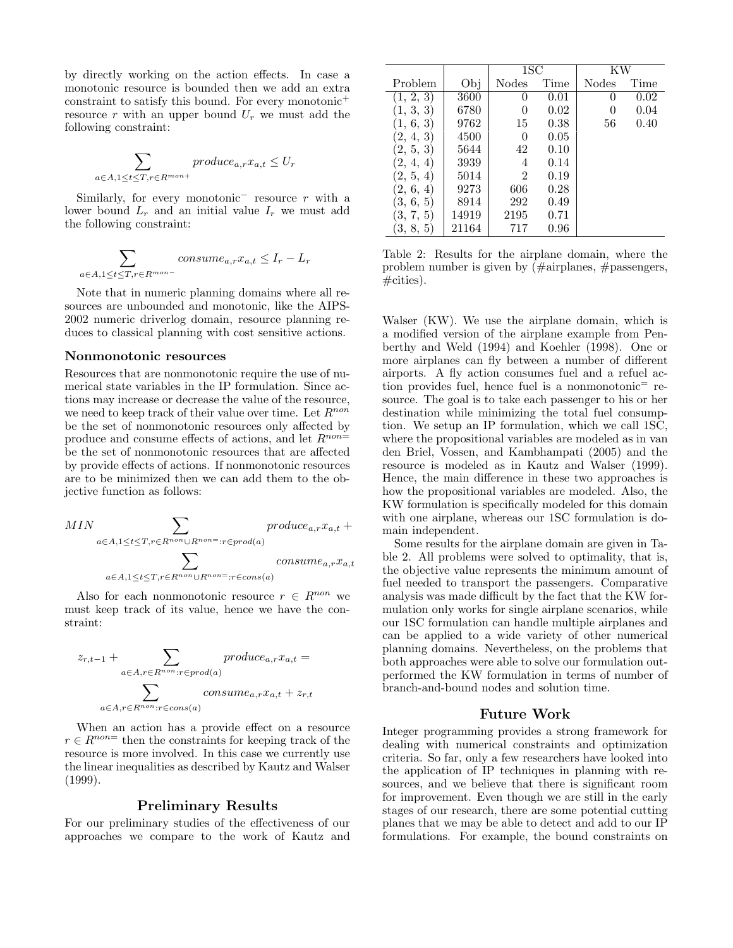by directly working on the action effects. In case a monotonic resource is bounded then we add an extra constraint to satisfy this bound. For every monotonic<sup>+</sup> resource r with an upper bound  $U_r$  we must add the following constraint:

$$
\sum_{a \in A, 1 \le t \le T, r \in R^{mon+}} produce_{a,r} x_{a,t} \le U_r
$$

Similarly, for every monotonic<sup>-</sup> resource r with a lower bound  $L_r$  and an initial value  $I_r$  we must add the following constraint:

$$
\sum_{a \in A, 1 \le t \le T, r \in R^{mon-}} \text{cosume}_{a,r} x_{a,t} \le I_r - L_r
$$

Note that in numeric planning domains where all resources are unbounded and monotonic, like the AIPS-2002 numeric driverlog domain, resource planning reduces to classical planning with cost sensitive actions.

#### Nonmonotonic resources

Resources that are nonmonotonic require the use of numerical state variables in the IP formulation. Since actions may increase or decrease the value of the resource, we need to keep track of their value over time. Let  $\mathbb{R}^{non}$ be the set of nonmonotonic resources only affected by produce and consume effects of actions, and let  $R^{non}$ be the set of nonmonotonic resources that are affected by provide effects of actions. If nonmonotonic resources are to be minimized then we can add them to the objective function as follows:

$$
MIN \sum_{a \in A, 1 \le t \le T, r \in R^{non} \cup R^{non} =: r \in prod(a)} produce_{a,r} x_{a,t} + \sum_{a \in A, 1 \le t \le T, r \in R^{non} \cup R^{non} =: r \in cons(a)} produce_{a,r} x_{a,t}
$$

Also for each nonmonotonic resource  $r \in R^{non}$  we must keep track of its value, hence we have the constraint:

$$
z_{r,t-1} + \sum_{a \in A, r \in R^{non}: r \in prod(a)} produce_{a,r} x_{a,t} =
$$
  

$$
\sum_{a \in A, r \in R^{non}: r \in cons(a)} consume_{a,r} x_{a,t} + z_{r,t}
$$

When an action has a provide effect on a resource  $r \in R^{non=}$  then the constraints for keeping track of the resource is more involved. In this case we currently use the linear inequalities as described by Kautz and Walser (1999).

## Preliminary Results

For our preliminary studies of the effectiveness of our approaches we compare to the work of Kautz and

|           |       | $_{1{\rm SC}}$ |      | ΚW           |      |
|-----------|-------|----------------|------|--------------|------|
| Problem   | Obj   | Nodes          | Time | <b>Nodes</b> | Time |
| 1, 2, 3)  | 3600  |                | 0.01 |              | 0.02 |
| 1, 3, 3)  | 6780  | 0              | 0.02 |              | 0.04 |
| 1, 6, 3)  | 9762  | 15             | 0.38 | 56           | 0.40 |
| (2, 4, 3) | 4500  | 0              | 0.05 |              |      |
| 2, 5, 3   | 5644  | 42             | 0.10 |              |      |
| 2, 4, 4   | 3939  | 4              | 0.14 |              |      |
| (2, 5, 4) | 5014  | $\overline{2}$ | 0.19 |              |      |
| 2, 6, 4   | 9273  | 606            | 0.28 |              |      |
| 3, 6, 5   | 8914  | 292            | 0.49 |              |      |
| 3, 7, 5   | 14919 | 2195           | 0.71 |              |      |
| 3, 8, 5   | 21164 | 717            | 0.96 |              |      |

Table 2: Results for the airplane domain, where the problem number is given by (#airplanes, #passengers,  $\#$ cities).

Walser (KW). We use the airplane domain, which is a modified version of the airplane example from Penberthy and Weld (1994) and Koehler (1998). One or more airplanes can fly between a number of different airports. A fly action consumes fuel and a refuel action provides fuel, hence fuel is a nonmonotonic<sup>=</sup> resource. The goal is to take each passenger to his or her destination while minimizing the total fuel consumption. We setup an IP formulation, which we call 1SC, where the propositional variables are modeled as in van den Briel, Vossen, and Kambhampati (2005) and the resource is modeled as in Kautz and Walser (1999). Hence, the main difference in these two approaches is how the propositional variables are modeled. Also, the KW formulation is specifically modeled for this domain with one airplane, whereas our 1SC formulation is domain independent.

Some results for the airplane domain are given in Table 2. All problems were solved to optimality, that is, the objective value represents the minimum amount of fuel needed to transport the passengers. Comparative analysis was made difficult by the fact that the KW formulation only works for single airplane scenarios, while our 1SC formulation can handle multiple airplanes and can be applied to a wide variety of other numerical planning domains. Nevertheless, on the problems that both approaches were able to solve our formulation outperformed the KW formulation in terms of number of branch-and-bound nodes and solution time.

### Future Work

Integer programming provides a strong framework for dealing with numerical constraints and optimization criteria. So far, only a few researchers have looked into the application of IP techniques in planning with resources, and we believe that there is significant room for improvement. Even though we are still in the early stages of our research, there are some potential cutting planes that we may be able to detect and add to our IP formulations. For example, the bound constraints on